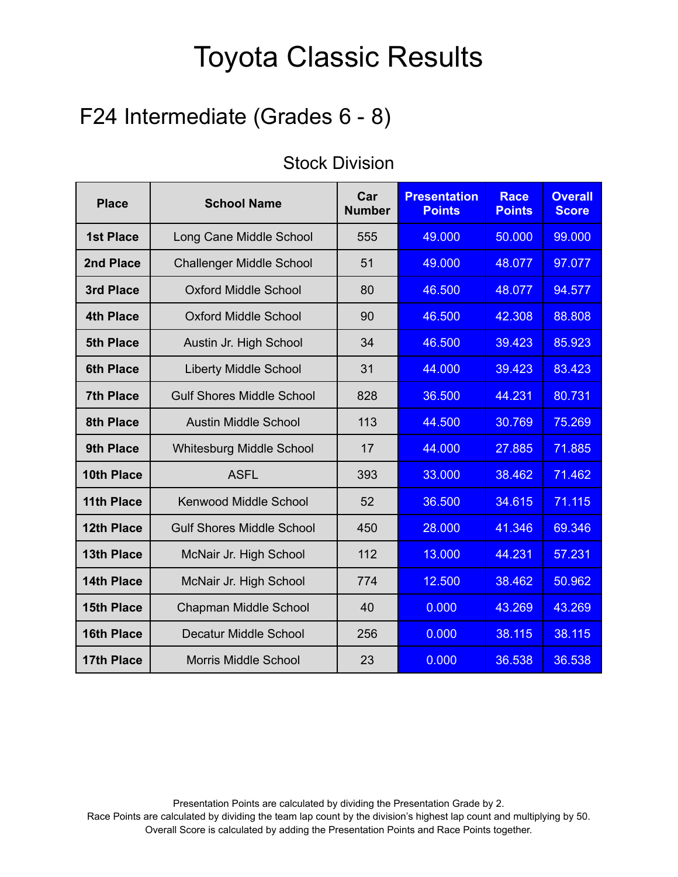### F24 Intermediate (Grades 6 - 8)

| <b>Place</b>      | <b>School Name</b>               | Car<br><b>Number</b> | <b>Presentation</b><br><b>Points</b> | <b>Race</b><br><b>Points</b> | <b>Overall</b><br><b>Score</b> |
|-------------------|----------------------------------|----------------------|--------------------------------------|------------------------------|--------------------------------|
| <b>1st Place</b>  | Long Cane Middle School          | 555                  | 49.000                               | 50,000                       | 99,000                         |
| 2nd Place         | <b>Challenger Middle School</b>  | 51                   | 49.000                               | 48.077                       | 97.077                         |
| 3rd Place         | <b>Oxford Middle School</b>      | 80                   | 46.500                               | 48.077                       | 94.577                         |
| <b>4th Place</b>  | <b>Oxford Middle School</b>      | 90                   | 46.500                               | 42.308                       | 88.808                         |
| <b>5th Place</b>  | Austin Jr. High School           | 34                   | 46.500                               | 39.423                       | 85.923                         |
| <b>6th Place</b>  | <b>Liberty Middle School</b>     | 31                   | 44.000                               | 39.423                       | 83.423                         |
| <b>7th Place</b>  | <b>Gulf Shores Middle School</b> | 828                  | 36.500                               | 44.231                       | 80.731                         |
| <b>8th Place</b>  | <b>Austin Middle School</b>      | 113                  | 44.500                               | 30.769                       | 75.269                         |
| 9th Place         | Whitesburg Middle School         | 17                   | 44.000                               | 27.885                       | 71.885                         |
| 10th Place        | <b>ASFL</b>                      | 393                  | 33.000                               | 38.462                       | 71.462                         |
| 11th Place        | <b>Kenwood Middle School</b>     | 52                   | 36.500                               | 34.615                       | 71.115                         |
| <b>12th Place</b> | <b>Gulf Shores Middle School</b> | 450                  | 28.000                               | 41.346                       | 69.346                         |
| <b>13th Place</b> | McNair Jr. High School           | 112                  | 13.000                               | 44.231                       | 57.231                         |
| <b>14th Place</b> | McNair Jr. High School           | 774                  | 12.500                               | 38.462                       | 50.962                         |
| <b>15th Place</b> | Chapman Middle School            | 40                   | 0.000                                | 43.269                       | 43.269                         |
| <b>16th Place</b> | <b>Decatur Middle School</b>     | 256                  | 0.000                                | 38.115                       | 38.115                         |
| 17th Place        | <b>Morris Middle School</b>      | 23                   | 0.000                                | 36.538                       | 36.538                         |

#### Stock Division

Presentation Points are calculated by dividing the Presentation Grade by 2.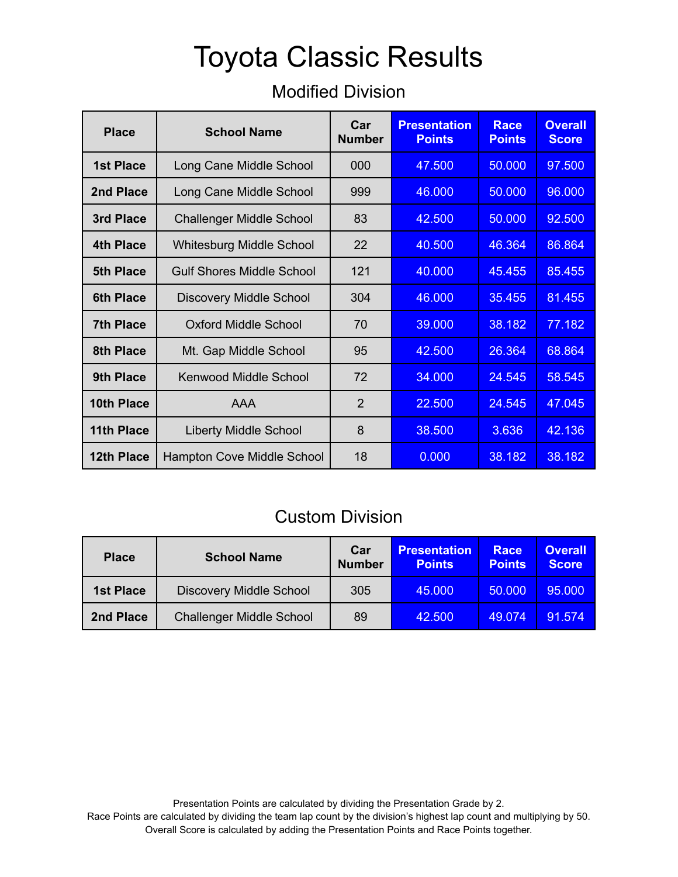#### Modified Division

| <b>Place</b>      | <b>School Name</b>               | Car<br><b>Number</b> | <b>Presentation</b><br><b>Points</b> | <b>Race</b><br><b>Points</b> | <b>Overall</b><br><b>Score</b> |
|-------------------|----------------------------------|----------------------|--------------------------------------|------------------------------|--------------------------------|
| 1st Place         | Long Cane Middle School          | 000                  | 47.500                               | 50,000                       | 97.500                         |
| 2nd Place         | Long Cane Middle School          | 999                  | 46.000                               | 50.000                       | 96.000                         |
| 3rd Place         | <b>Challenger Middle School</b>  | 83                   | 42.500                               | 50.000                       | 92.500                         |
| <b>4th Place</b>  | <b>Whitesburg Middle School</b>  | 22                   | 40.500                               | 46.364                       | 86.864                         |
| 5th Place         | <b>Gulf Shores Middle School</b> | 121                  | 40.000                               | 45.455                       | 85.455                         |
| <b>6th Place</b>  | <b>Discovery Middle School</b>   | 304                  | 46,000                               | 35.455                       | 81.455                         |
| <b>7th Place</b>  | Oxford Middle School             | 70                   | 39,000                               | 38.182                       | 77.182                         |
| 8th Place         | Mt. Gap Middle School            | 95                   | 42.500                               | 26.364                       | 68.864                         |
| 9th Place         | Kenwood Middle School            | 72                   | 34.000                               | 24.545                       | 58.545                         |
| 10th Place        | <b>AAA</b>                       | $\overline{2}$       | 22.500                               | 24.545                       | 47.045                         |
| 11th Place        | <b>Liberty Middle School</b>     | 8                    | 38.500                               | 3.636                        | 42.136                         |
| <b>12th Place</b> | Hampton Cove Middle School       | 18                   | 0.000                                | 38.182                       | 38.182                         |

#### Custom Division

| <b>Place</b>     | <b>School Name</b>              | Car<br><b>Number</b> | <b>Presentation</b><br><b>Points</b> | Race<br><b>Points</b> | <b>Overall</b><br><b>Score</b> |
|------------------|---------------------------------|----------------------|--------------------------------------|-----------------------|--------------------------------|
| <b>1st Place</b> | <b>Discovery Middle School</b>  | 305                  | 45.000                               | 50,000                | 95,000                         |
| 2nd Place        | <b>Challenger Middle School</b> | 89                   | 42,500                               | 49.074                | 91.574                         |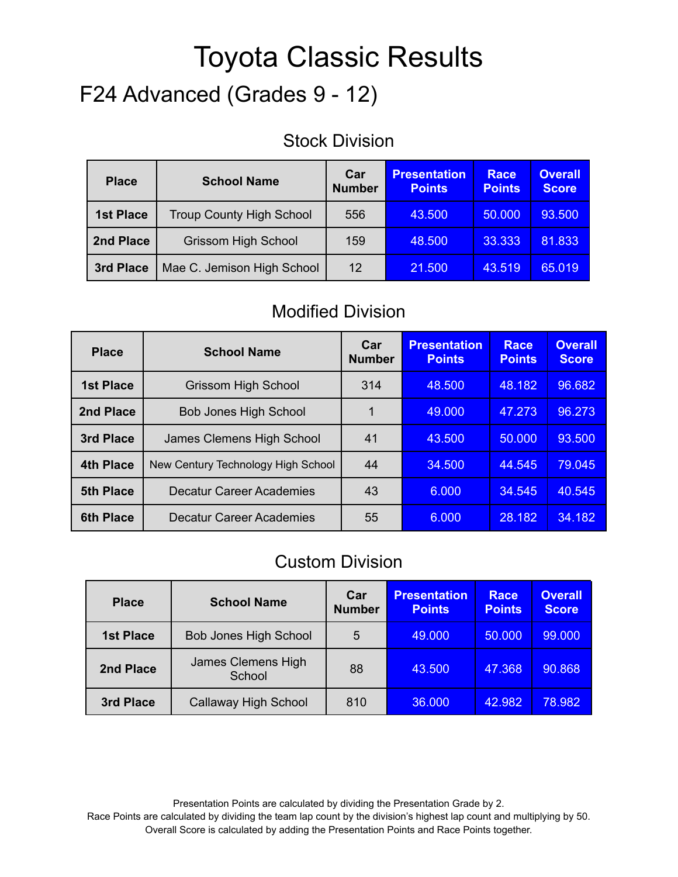# F24 Advanced (Grades 9 - 12)

#### Stock Division

| <b>Place</b>                            | <b>School Name</b>              | Car<br><b>Number</b> | <b>Presentation</b><br><b>Points</b> | Race<br><b>Points</b> | <b>Overall</b><br><b>Score</b> |
|-----------------------------------------|---------------------------------|----------------------|--------------------------------------|-----------------------|--------------------------------|
| <b>1st Place</b>                        | <b>Troup County High School</b> | 556                  | 43.500                               | 50,000                | 93.500                         |
| <b>Grissom High School</b><br>2nd Place |                                 | 159                  | 48.500                               | 33.333                | 81.833                         |
| 3rd Place                               | Mae C. Jemison High School      | 12                   | 21.500                               | 43.519                | 65.019                         |

#### Modified Division

| <b>Place</b>                                           | <b>School Name</b>         | Car<br><b>Number</b> | <b>Presentation</b><br><b>Points</b> | <b>Race</b><br><b>Points</b> | <b>Overall</b><br><b>Score</b> |
|--------------------------------------------------------|----------------------------|----------------------|--------------------------------------|------------------------------|--------------------------------|
| <b>1st Place</b>                                       | <b>Grissom High School</b> |                      | 48.500                               | 48.182                       | 96.682                         |
| 2nd Place<br><b>Bob Jones High School</b>              |                            |                      | 49,000                               | 47.273                       | 96.273                         |
| <b>3rd Place</b><br>James Clemens High School          |                            | 41                   | 43.500                               | 50,000                       | 93.500                         |
| <b>4th Place</b><br>New Century Technology High School |                            | 44                   | 34,500                               | 44.545                       | 79.045                         |
| <b>Decatur Career Academies</b><br><b>5th Place</b>    |                            | 43                   | 6.000                                | 34.545                       | 40.545                         |
| <b>6th Place</b>                                       | Decatur Career Academies   | 55                   | 6.000                                | 28.182                       | 34.182                         |

#### Custom Division

| <b>Place</b>                              | <b>School Name</b>           | Car<br><b>Number</b> | <b>Presentation</b><br><b>Points</b> | <b>Race</b><br><b>Points</b> | <b>Overall</b><br><b>Score</b> |
|-------------------------------------------|------------------------------|----------------------|--------------------------------------|------------------------------|--------------------------------|
| <b>1st Place</b>                          | <b>Bob Jones High School</b> | 5                    | 49.000                               | 50,000                       | 99.000                         |
| James Clemens High<br>2nd Place<br>School |                              | 88                   | 43.500                               | 47.368                       | 90.868                         |
| 3rd Place                                 | Callaway High School         | 810                  | 36.000                               | 42.982                       | 78.982                         |

Presentation Points are calculated by dividing the Presentation Grade by 2.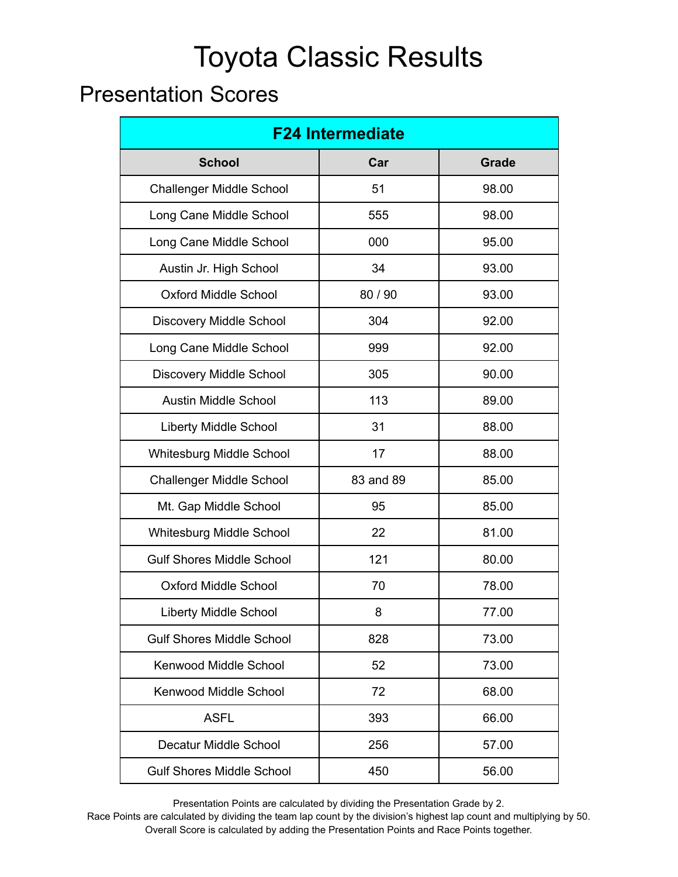### Presentation Scores

| <b>F24 Intermediate</b>          |           |              |  |  |  |
|----------------------------------|-----------|--------------|--|--|--|
| <b>School</b>                    | Car       | <b>Grade</b> |  |  |  |
| <b>Challenger Middle School</b>  | 51        | 98.00        |  |  |  |
| Long Cane Middle School          | 555       | 98.00        |  |  |  |
| Long Cane Middle School          | 000       | 95.00        |  |  |  |
| Austin Jr. High School           | 34        | 93.00        |  |  |  |
| <b>Oxford Middle School</b>      | 80 / 90   | 93.00        |  |  |  |
| Discovery Middle School          | 304       | 92.00        |  |  |  |
| Long Cane Middle School          | 999       | 92.00        |  |  |  |
| <b>Discovery Middle School</b>   | 305       | 90.00        |  |  |  |
| <b>Austin Middle School</b>      | 113       | 89.00        |  |  |  |
| Liberty Middle School            | 31        | 88.00        |  |  |  |
| <b>Whitesburg Middle School</b>  | 17        | 88.00        |  |  |  |
| <b>Challenger Middle School</b>  | 83 and 89 | 85.00        |  |  |  |
| Mt. Gap Middle School            | 95        | 85.00        |  |  |  |
| <b>Whitesburg Middle School</b>  | 22        | 81.00        |  |  |  |
| <b>Gulf Shores Middle School</b> | 121       | 80.00        |  |  |  |
| <b>Oxford Middle School</b>      | 70        | 78.00        |  |  |  |
| <b>Liberty Middle School</b>     | 8         | 77.00        |  |  |  |
| <b>Gulf Shores Middle School</b> | 828       | 73.00        |  |  |  |
| Kenwood Middle School            | 52        | 73.00        |  |  |  |
| Kenwood Middle School            | 72        | 68.00        |  |  |  |
| <b>ASFL</b>                      | 393       | 66.00        |  |  |  |
| Decatur Middle School            | 256       | 57.00        |  |  |  |
| <b>Gulf Shores Middle School</b> | 450       | 56.00        |  |  |  |

Presentation Points are calculated by dividing the Presentation Grade by 2.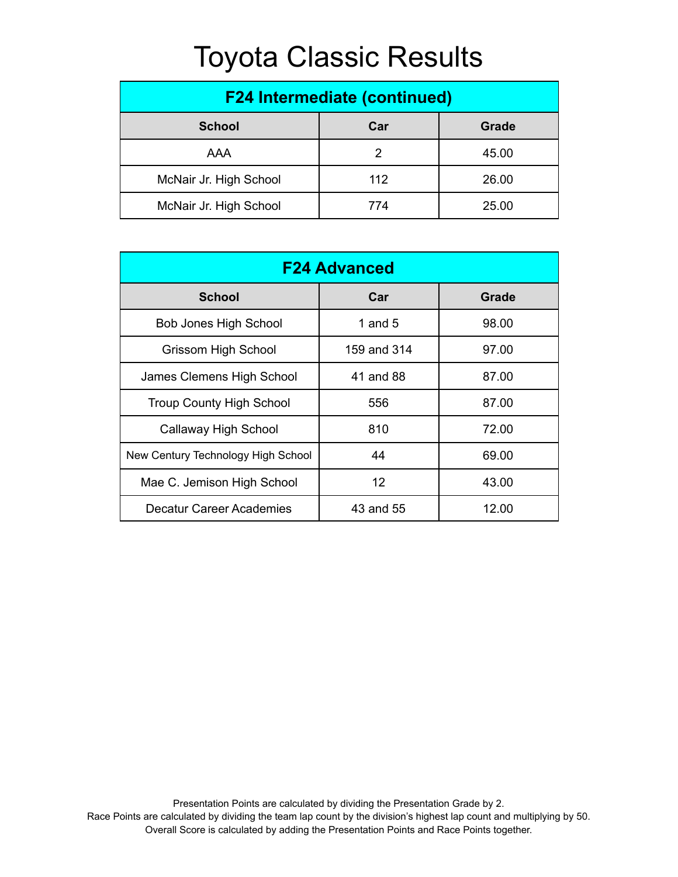| <b>F24 Intermediate (continued)</b> |     |       |  |  |  |
|-------------------------------------|-----|-------|--|--|--|
| <b>School</b><br>Car<br>Grade       |     |       |  |  |  |
| AAA                                 |     | 45.00 |  |  |  |
| McNair Jr. High School              | 112 | 26.00 |  |  |  |
| McNair Jr. High School              | 774 | 25.00 |  |  |  |

| <b>F24 Advanced</b>                |             |       |  |  |  |
|------------------------------------|-------------|-------|--|--|--|
| <b>School</b>                      | Car         | Grade |  |  |  |
| <b>Bob Jones High School</b>       | 1 and $5$   | 98.00 |  |  |  |
| <b>Grissom High School</b>         | 159 and 314 | 97.00 |  |  |  |
| James Clemens High School          | 41 and 88   | 87.00 |  |  |  |
| <b>Troup County High School</b>    | 556         | 87.00 |  |  |  |
| Callaway High School               | 810         | 72.00 |  |  |  |
| New Century Technology High School | 44          | 69.00 |  |  |  |
| Mae C. Jemison High School         | 12          | 43.00 |  |  |  |
| <b>Decatur Career Academies</b>    | 43 and 55   | 12.00 |  |  |  |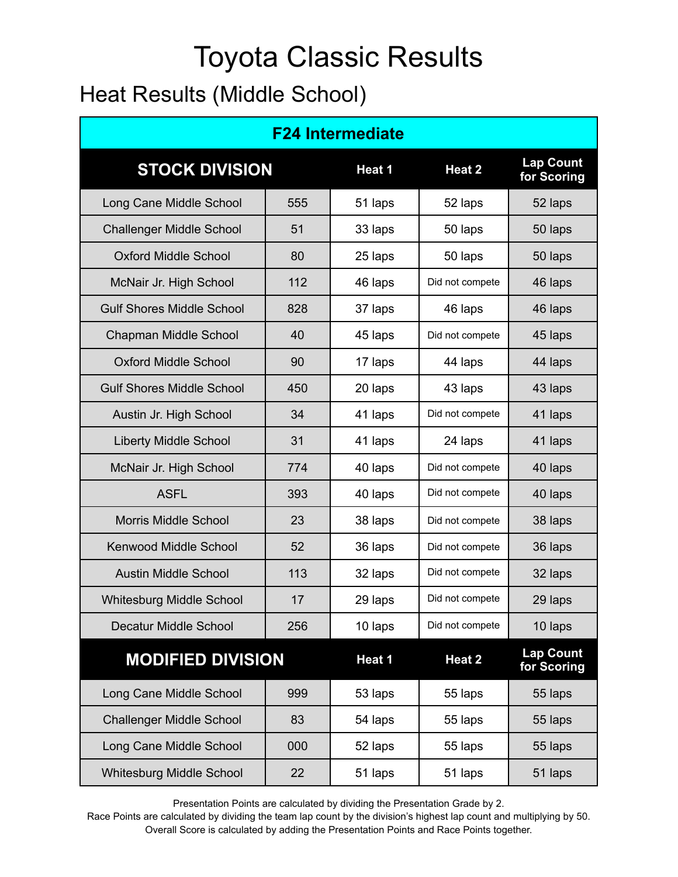### Heat Results (Middle School)

| <b>F24 Intermediate</b>          |     |         |                 |                                 |  |  |
|----------------------------------|-----|---------|-----------------|---------------------------------|--|--|
| <b>STOCK DIVISION</b>            |     | Heat 1  | Heat 2          | <b>Lap Count</b><br>for Scoring |  |  |
| Long Cane Middle School          | 555 | 51 laps | 52 laps         | 52 laps                         |  |  |
| <b>Challenger Middle School</b>  | 51  | 33 laps | 50 laps         | 50 laps                         |  |  |
| <b>Oxford Middle School</b>      | 80  | 25 laps | 50 laps         | 50 laps                         |  |  |
| McNair Jr. High School           | 112 | 46 laps | Did not compete | 46 laps                         |  |  |
| <b>Gulf Shores Middle School</b> | 828 | 37 laps | 46 laps         | 46 laps                         |  |  |
| Chapman Middle School            | 40  | 45 laps | Did not compete | 45 laps                         |  |  |
| <b>Oxford Middle School</b>      | 90  | 17 laps | 44 laps         | 44 laps                         |  |  |
| <b>Gulf Shores Middle School</b> | 450 | 20 laps | 43 laps         | 43 laps                         |  |  |
| Austin Jr. High School           | 34  | 41 laps | Did not compete | 41 laps                         |  |  |
| <b>Liberty Middle School</b>     | 31  | 41 laps | 24 laps         | 41 laps                         |  |  |
| McNair Jr. High School           | 774 | 40 laps | Did not compete | 40 laps                         |  |  |
| <b>ASFL</b>                      | 393 | 40 laps | Did not compete | 40 laps                         |  |  |
| <b>Morris Middle School</b>      | 23  | 38 laps | Did not compete | 38 laps                         |  |  |
| <b>Kenwood Middle School</b>     | 52  | 36 laps | Did not compete | 36 laps                         |  |  |
| <b>Austin Middle School</b>      | 113 | 32 laps | Did not compete | 32 laps                         |  |  |
| <b>Whitesburg Middle School</b>  | 17  | 29 laps | Did not compete | 29 laps                         |  |  |
| <b>Decatur Middle School</b>     | 256 | 10 laps | Did not compete | 10 laps                         |  |  |
| <b>MODIFIED DIVISION</b>         |     | Heat 1  | Heat 2          | <b>Lap Count</b><br>for Scoring |  |  |
| Long Cane Middle School          | 999 | 53 laps | 55 laps         | 55 laps                         |  |  |
| <b>Challenger Middle School</b>  | 83  | 54 laps | 55 laps         | 55 laps                         |  |  |
| Long Cane Middle School          | 000 | 52 laps | 55 laps         | 55 laps                         |  |  |
| <b>Whitesburg Middle School</b>  | 22  | 51 laps | 51 laps         | 51 laps                         |  |  |

Presentation Points are calculated by dividing the Presentation Grade by 2.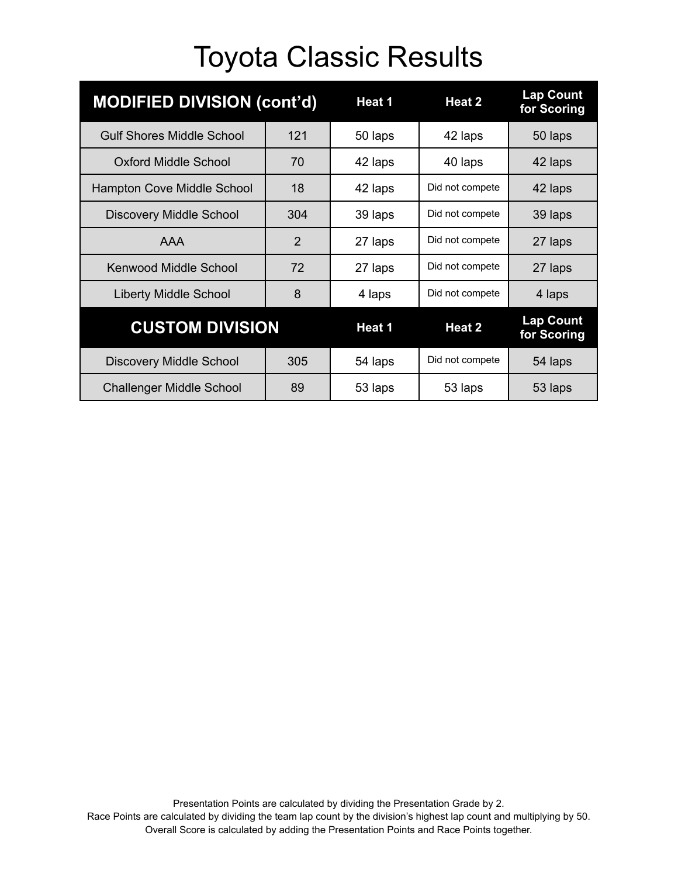| <b>MODIFIED DIVISION (cont'd)</b> |                | Heat 1  | Heat 2          | <b>Lap Count</b><br>for Scoring |
|-----------------------------------|----------------|---------|-----------------|---------------------------------|
| <b>Gulf Shores Middle School</b>  | 121            | 50 laps | 42 laps         | 50 laps                         |
| Oxford Middle School              | 70             | 42 laps | 40 laps         | 42 laps                         |
| <b>Hampton Cove Middle School</b> | 18             | 42 laps | Did not compete | 42 laps                         |
| <b>Discovery Middle School</b>    | 304            | 39 laps | Did not compete | 39 laps                         |
| <b>AAA</b>                        | $\overline{2}$ | 27 laps | Did not compete | 27 laps                         |
| Kenwood Middle School             | 72             | 27 laps | Did not compete | 27 laps                         |
| <b>Liberty Middle School</b>      | 8              | 4 laps  | Did not compete | 4 laps                          |
| <b>CUSTOM DIVISION</b>            |                | Heat 1  | Heat 2          | <b>Lap Count</b><br>for Scoring |
| <b>Discovery Middle School</b>    | 305            | 54 laps | Did not compete | 54 laps                         |
| <b>Challenger Middle School</b>   | 89             | 53 laps | 53 laps         | 53 laps                         |